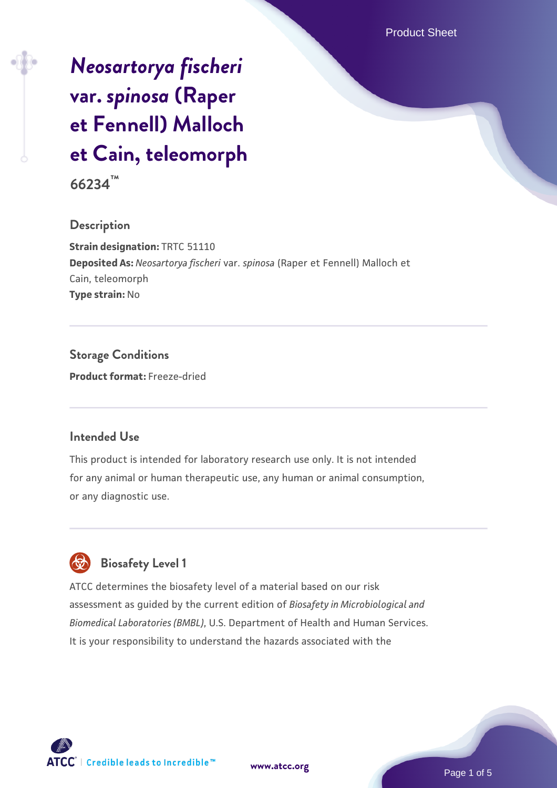# *[Neosartorya fischeri](https://www.atcc.org/products/66234)* **[var.](https://www.atcc.org/products/66234)** *[spinosa](https://www.atcc.org/products/66234)* **[\(Raper](https://www.atcc.org/products/66234) [et Fennell\) Malloch](https://www.atcc.org/products/66234) [et Cain, teleomorph](https://www.atcc.org/products/66234)**

**66234™**

# **Description**

**Strain designation:** TRTC 51110 **Deposited As:** *Neosartorya fischeri* var. *spinosa* (Raper et Fennell) Malloch et Cain, teleomorph **Type strain:** No

**Storage Conditions Product format:** Freeze-dried

# **Intended Use**

This product is intended for laboratory research use only. It is not intended for any animal or human therapeutic use, any human or animal consumption, or any diagnostic use.



# **Biosafety Level 1**

ATCC determines the biosafety level of a material based on our risk assessment as guided by the current edition of *Biosafety in Microbiological and Biomedical Laboratories (BMBL)*, U.S. Department of Health and Human Services. It is your responsibility to understand the hazards associated with the

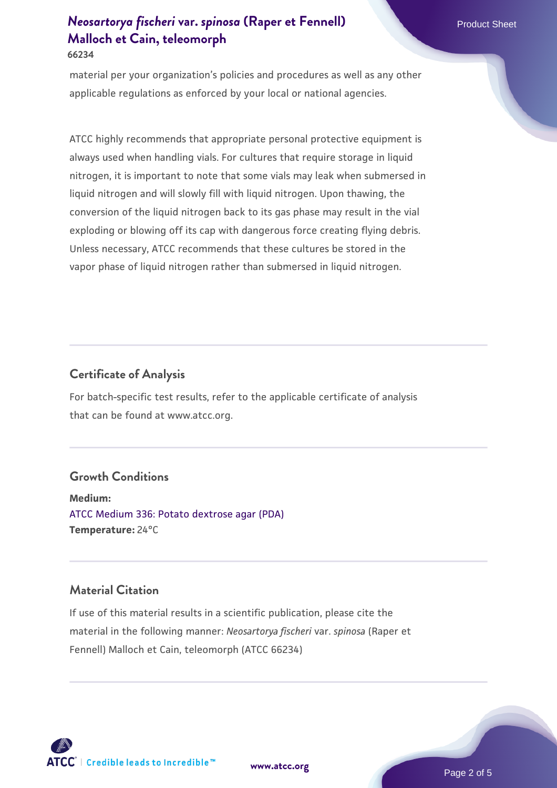# *[Neosartorya fischeri](https://www.atcc.org/products/66234)* **[var.](https://www.atcc.org/products/66234)** *[spinosa](https://www.atcc.org/products/66234)* **[\(Raper et Fennell\)](https://www.atcc.org/products/66234) Product Sheet Product Sheet [Malloch et Cain, teleomorph](https://www.atcc.org/products/66234) 66234**

material per your organization's policies and procedures as well as any other applicable regulations as enforced by your local or national agencies.

ATCC highly recommends that appropriate personal protective equipment is always used when handling vials. For cultures that require storage in liquid nitrogen, it is important to note that some vials may leak when submersed in liquid nitrogen and will slowly fill with liquid nitrogen. Upon thawing, the conversion of the liquid nitrogen back to its gas phase may result in the vial exploding or blowing off its cap with dangerous force creating flying debris. Unless necessary, ATCC recommends that these cultures be stored in the vapor phase of liquid nitrogen rather than submersed in liquid nitrogen.

# **Certificate of Analysis**

For batch-specific test results, refer to the applicable certificate of analysis that can be found at www.atcc.org.

#### **Growth Conditions**

**Medium:**  [ATCC Medium 336: Potato dextrose agar \(PDA\)](https://www.atcc.org/-/media/product-assets/documents/microbial-media-formulations/3/3/6/atcc-medium-336.pdf?rev=d9160ad44d934cd8b65175461abbf3b9) **Temperature:** 24°C

# **Material Citation**

If use of this material results in a scientific publication, please cite the material in the following manner: *Neosartorya fischeri* var. *spinosa* (Raper et Fennell) Malloch et Cain, teleomorph (ATCC 66234)



**[www.atcc.org](http://www.atcc.org)**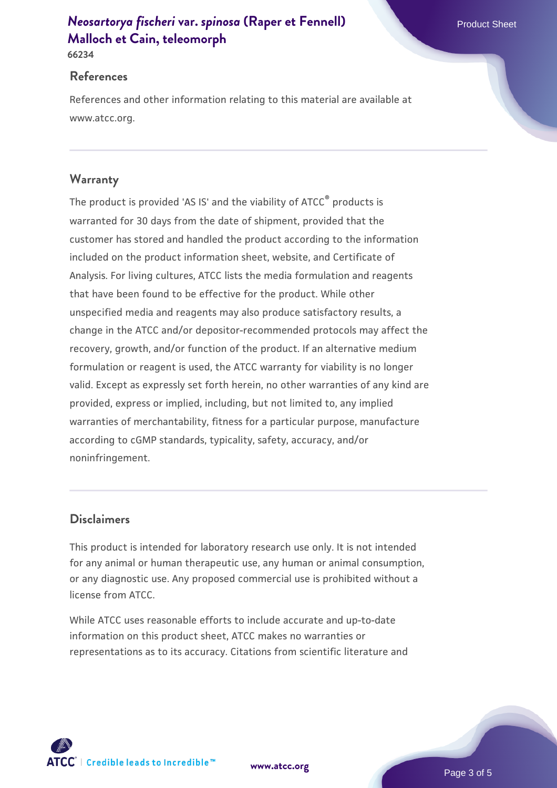# *[Neosartorya fischeri](https://www.atcc.org/products/66234)* **[var.](https://www.atcc.org/products/66234)** *[spinosa](https://www.atcc.org/products/66234)* **[\(Raper et Fennell\)](https://www.atcc.org/products/66234) Product Sheet Product Sheet [Malloch et Cain, teleomorph](https://www.atcc.org/products/66234)**

**66234**

#### **References**

References and other information relating to this material are available at www.atcc.org.

# **Warranty**

The product is provided 'AS IS' and the viability of ATCC® products is warranted for 30 days from the date of shipment, provided that the customer has stored and handled the product according to the information included on the product information sheet, website, and Certificate of Analysis. For living cultures, ATCC lists the media formulation and reagents that have been found to be effective for the product. While other unspecified media and reagents may also produce satisfactory results, a change in the ATCC and/or depositor-recommended protocols may affect the recovery, growth, and/or function of the product. If an alternative medium formulation or reagent is used, the ATCC warranty for viability is no longer valid. Except as expressly set forth herein, no other warranties of any kind are provided, express or implied, including, but not limited to, any implied warranties of merchantability, fitness for a particular purpose, manufacture according to cGMP standards, typicality, safety, accuracy, and/or noninfringement.

## **Disclaimers**

This product is intended for laboratory research use only. It is not intended for any animal or human therapeutic use, any human or animal consumption, or any diagnostic use. Any proposed commercial use is prohibited without a license from ATCC.

While ATCC uses reasonable efforts to include accurate and up-to-date information on this product sheet, ATCC makes no warranties or representations as to its accuracy. Citations from scientific literature and

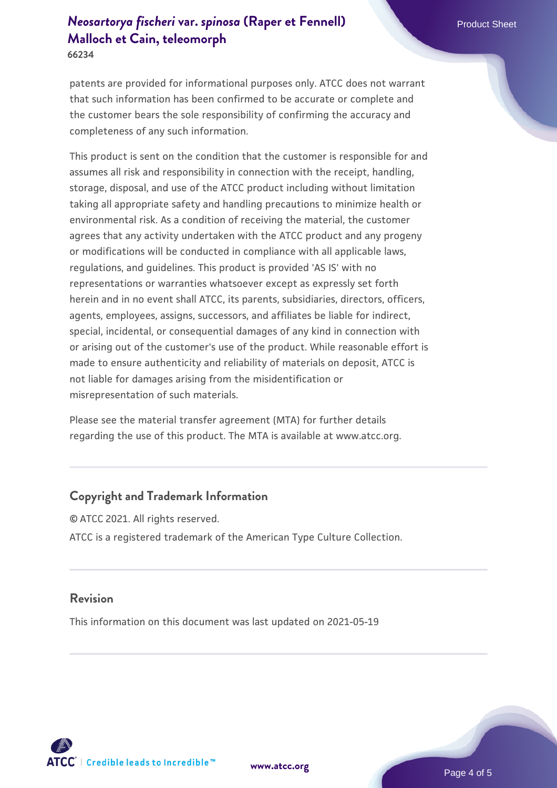# *[Neosartorya fischeri](https://www.atcc.org/products/66234)* **[var.](https://www.atcc.org/products/66234)** *[spinosa](https://www.atcc.org/products/66234)* **[\(Raper et Fennell\)](https://www.atcc.org/products/66234) Product Sheet Product Sheet [Malloch et Cain, teleomorph](https://www.atcc.org/products/66234)**

**66234**

patents are provided for informational purposes only. ATCC does not warrant that such information has been confirmed to be accurate or complete and the customer bears the sole responsibility of confirming the accuracy and completeness of any such information.

This product is sent on the condition that the customer is responsible for and assumes all risk and responsibility in connection with the receipt, handling, storage, disposal, and use of the ATCC product including without limitation taking all appropriate safety and handling precautions to minimize health or environmental risk. As a condition of receiving the material, the customer agrees that any activity undertaken with the ATCC product and any progeny or modifications will be conducted in compliance with all applicable laws, regulations, and guidelines. This product is provided 'AS IS' with no representations or warranties whatsoever except as expressly set forth herein and in no event shall ATCC, its parents, subsidiaries, directors, officers, agents, employees, assigns, successors, and affiliates be liable for indirect, special, incidental, or consequential damages of any kind in connection with or arising out of the customer's use of the product. While reasonable effort is made to ensure authenticity and reliability of materials on deposit, ATCC is not liable for damages arising from the misidentification or misrepresentation of such materials.

Please see the material transfer agreement (MTA) for further details regarding the use of this product. The MTA is available at www.atcc.org.

# **Copyright and Trademark Information**

© ATCC 2021. All rights reserved. ATCC is a registered trademark of the American Type Culture Collection.

#### **Revision**

This information on this document was last updated on 2021-05-19



**[www.atcc.org](http://www.atcc.org)**